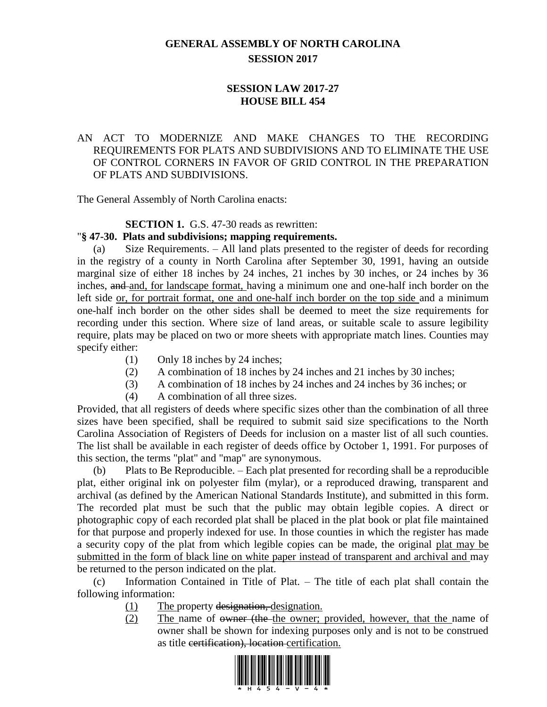# **GENERAL ASSEMBLY OF NORTH CAROLINA SESSION 2017**

## **SESSION LAW 2017-27 HOUSE BILL 454**

## AN ACT TO MODERNIZE AND MAKE CHANGES TO THE RECORDING REQUIREMENTS FOR PLATS AND SUBDIVISIONS AND TO ELIMINATE THE USE OF CONTROL CORNERS IN FAVOR OF GRID CONTROL IN THE PREPARATION OF PLATS AND SUBDIVISIONS.

The General Assembly of North Carolina enacts:

### **SECTION 1.** G.S. 47-30 reads as rewritten:

#### "**§ 47-30. Plats and subdivisions; mapping requirements.**

(a) Size Requirements. – All land plats presented to the register of deeds for recording in the registry of a county in North Carolina after September 30, 1991, having an outside marginal size of either 18 inches by 24 inches, 21 inches by 30 inches, or 24 inches by 36 inches, and and, for landscape format, having a minimum one and one-half inch border on the left side or, for portrait format, one and one-half inch border on the top side and a minimum one-half inch border on the other sides shall be deemed to meet the size requirements for recording under this section. Where size of land areas, or suitable scale to assure legibility require, plats may be placed on two or more sheets with appropriate match lines. Counties may specify either:

- (1) Only 18 inches by 24 inches;
- (2) A combination of 18 inches by 24 inches and 21 inches by 30 inches;
- (3) A combination of 18 inches by 24 inches and 24 inches by 36 inches; or
- (4) A combination of all three sizes.

Provided, that all registers of deeds where specific sizes other than the combination of all three sizes have been specified, shall be required to submit said size specifications to the North Carolina Association of Registers of Deeds for inclusion on a master list of all such counties. The list shall be available in each register of deeds office by October 1, 1991. For purposes of this section, the terms "plat" and "map" are synonymous.

(b) Plats to Be Reproducible. – Each plat presented for recording shall be a reproducible plat, either original ink on polyester film (mylar), or a reproduced drawing, transparent and archival (as defined by the American National Standards Institute), and submitted in this form. The recorded plat must be such that the public may obtain legible copies. A direct or photographic copy of each recorded plat shall be placed in the plat book or plat file maintained for that purpose and properly indexed for use. In those counties in which the register has made a security copy of the plat from which legible copies can be made, the original plat may be submitted in the form of black line on white paper instead of transparent and archival and may be returned to the person indicated on the plat.

(c) Information Contained in Title of Plat. – The title of each plat shall contain the following information:

- (1) The property designation, designation.
- (2) The name of owner (the the owner; provided, however, that the name of owner shall be shown for indexing purposes only and is not to be construed as title certification), location certification.

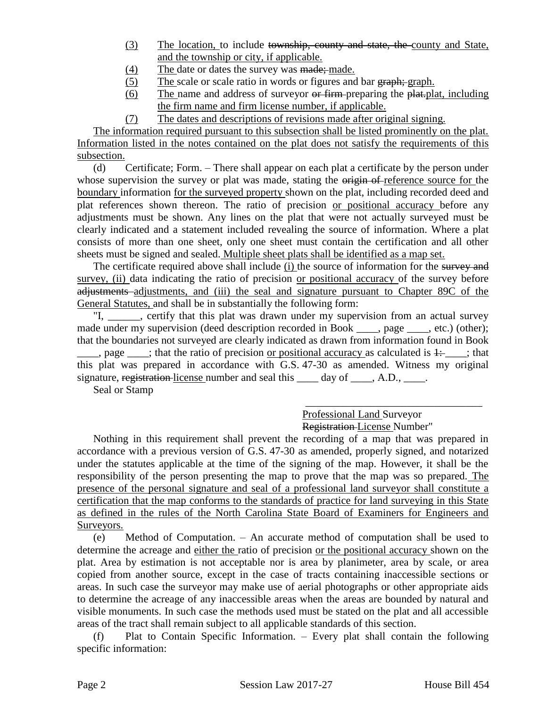- (3) The location, to include township, county and state, the county and State, and the township or city, if applicable.
- (4) The date or dates the survey was made; made.
- (5) The scale or scale ratio in words or figures and bar graph; graph.
- (6) The name and address of surveyor or firm preparing the plat.plat, including the firm name and firm license number, if applicable.
- (7) The dates and descriptions of revisions made after original signing.

The information required pursuant to this subsection shall be listed prominently on the plat. Information listed in the notes contained on the plat does not satisfy the requirements of this subsection.

(d) Certificate; Form. – There shall appear on each plat a certificate by the person under whose supervision the survey or plat was made, stating the origin of reference source for the boundary information for the surveyed property shown on the plat, including recorded deed and plat references shown thereon. The ratio of precision or positional accuracy before any adjustments must be shown. Any lines on the plat that were not actually surveyed must be clearly indicated and a statement included revealing the source of information. Where a plat consists of more than one sheet, only one sheet must contain the certification and all other sheets must be signed and sealed. Multiple sheet plats shall be identified as a map set.

The certificate required above shall include (i) the source of information for the survey and survey, (ii) data indicating the ratio of precision or positional accuracy of the survey before adjustments adjustments, and (iii) the seal and signature pursuant to Chapter 89C of the General Statutes, and shall be in substantially the following form:

"I, eertify that this plat was drawn under my supervision from an actual survey made under my supervision (deed description recorded in Book \_\_\_\_, page \_\_\_\_, etc.) (other); that the boundaries not surveyed are clearly indicated as drawn from information found in Book  $\frac{1}{\sqrt{1-\frac{1}{\sqrt{1-\frac{1}{\sqrt{1-\frac{1}{\sqrt{1-\frac{1}{\sqrt{1-\frac{1}{\sqrt{1-\frac{1}{\sqrt{1-\frac{1}{\sqrt{1-\frac{1}{\sqrt{1-\frac{1}{\sqrt{1-\frac{1}{\sqrt{1-\frac{1}{\sqrt{1-\frac{1}{\sqrt{1-\frac{1}{\sqrt{1-\frac{1}{\sqrt{1-\frac{1}{\sqrt{1-\frac{1}{\sqrt{1-\frac{1}{\sqrt{1-\frac{1}{\sqrt{1-\frac{1}{\sqrt{1-\frac{1}{\sqrt{1-\frac{1}{\sqrt{1-\frac{1}{\sqrt{1-\frac{1}{\sqrt{1-\frac{1$ this plat was prepared in accordance with G.S. 47-30 as amended. Witness my original signature, registration license number and seal this \_\_\_\_ day of \_\_\_\_, A.D., \_\_\_\_.

Seal or Stamp

### \_\_\_\_\_\_\_\_\_\_\_\_\_\_\_\_\_\_\_\_\_\_\_\_\_\_\_\_\_\_\_\_\_ Professional Land Surveyor Registration License Number"

Nothing in this requirement shall prevent the recording of a map that was prepared in accordance with a previous version of G.S. 47-30 as amended, properly signed, and notarized under the statutes applicable at the time of the signing of the map. However, it shall be the responsibility of the person presenting the map to prove that the map was so prepared. The presence of the personal signature and seal of a professional land surveyor shall constitute a certification that the map conforms to the standards of practice for land surveying in this State as defined in the rules of the North Carolina State Board of Examiners for Engineers and Surveyors.

(e) Method of Computation. – An accurate method of computation shall be used to determine the acreage and either the ratio of precision or the positional accuracy shown on the plat. Area by estimation is not acceptable nor is area by planimeter, area by scale, or area copied from another source, except in the case of tracts containing inaccessible sections or areas. In such case the surveyor may make use of aerial photographs or other appropriate aids to determine the acreage of any inaccessible areas when the areas are bounded by natural and visible monuments. In such case the methods used must be stated on the plat and all accessible areas of the tract shall remain subject to all applicable standards of this section.

(f) Plat to Contain Specific Information. – Every plat shall contain the following specific information: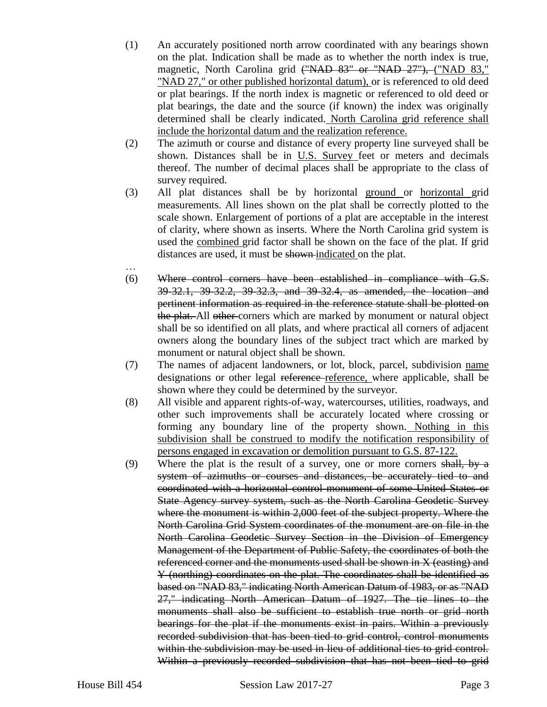- (1) An accurately positioned north arrow coordinated with any bearings shown on the plat. Indication shall be made as to whether the north index is true, magnetic, North Carolina grid ("NAD 83" or "NAD 27"), ("NAD 83," "NAD 27," or other published horizontal datum), or is referenced to old deed or plat bearings. If the north index is magnetic or referenced to old deed or plat bearings, the date and the source (if known) the index was originally determined shall be clearly indicated. North Carolina grid reference shall include the horizontal datum and the realization reference.
- (2) The azimuth or course and distance of every property line surveyed shall be shown. Distances shall be in U.S. Survey feet or meters and decimals thereof. The number of decimal places shall be appropriate to the class of survey required.
- (3) All plat distances shall be by horizontal ground or horizontal grid measurements. All lines shown on the plat shall be correctly plotted to the scale shown. Enlargement of portions of a plat are acceptable in the interest of clarity, where shown as inserts. Where the North Carolina grid system is used the combined grid factor shall be shown on the face of the plat. If grid distances are used, it must be shown indicated on the plat.
- … (6) Where control corners have been established in compliance with G.S. 39-32.1, 39-32.2, 39-32.3, and 39-32.4, as amended, the location and pertinent information as required in the reference statute shall be plotted on the plat. All other corners which are marked by monument or natural object shall be so identified on all plats, and where practical all corners of adjacent owners along the boundary lines of the subject tract which are marked by monument or natural object shall be shown.
- (7) The names of adjacent landowners, or lot, block, parcel, subdivision name designations or other legal reference reference, where applicable, shall be shown where they could be determined by the surveyor.
- (8) All visible and apparent rights-of-way, watercourses, utilities, roadways, and other such improvements shall be accurately located where crossing or forming any boundary line of the property shown. Nothing in this subdivision shall be construed to modify the notification responsibility of persons engaged in excavation or demolition pursuant to G.S. 87-122.
- (9) Where the plat is the result of a survey, one or more corners shall, by a system of azimuths or courses and distances, be accurately tied to and coordinated with a horizontal control monument of some United States or State Agency survey system, such as the North Carolina Geodetic Survey where the monument is within 2,000 feet of the subject property. Where the North Carolina Grid System coordinates of the monument are on file in the North Carolina Geodetic Survey Section in the Division of Emergency Management of the Department of Public Safety, the coordinates of both the referenced corner and the monuments used shall be shown in X (easting) and Y (northing) coordinates on the plat. The coordinates shall be identified as based on "NAD 83," indicating North American Datum of 1983, or as "NAD 27," indicating North American Datum of 1927. The tie lines to the monuments shall also be sufficient to establish true north or grid north bearings for the plat if the monuments exist in pairs. Within a previously recorded subdivision that has been tied to grid control, control monuments within the subdivision may be used in lieu of additional ties to grid control. Within a previously recorded subdivision that has not been tied to grid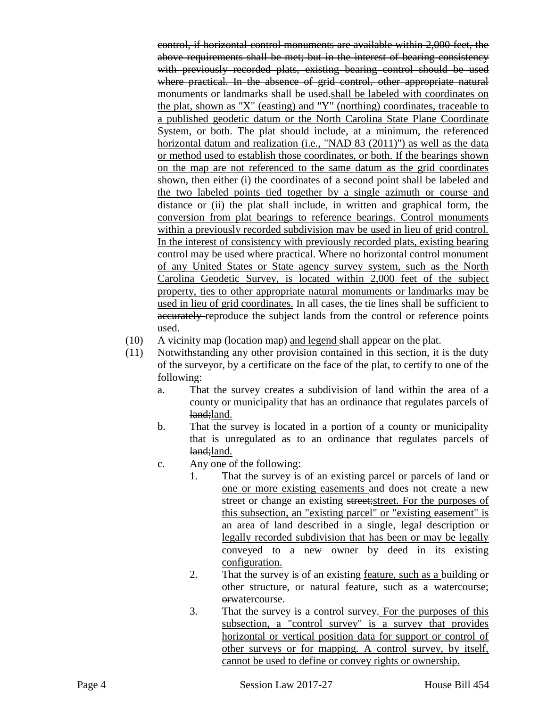control, if horizontal control monuments are available within 2,000 feet, the above requirements shall be met; but in the interest of bearing consistency with previously recorded plats, existing bearing control should be used where practical. In the absence of grid control, other appropriate natural monuments or landmarks shall be used.shall be labeled with coordinates on the plat, shown as "X" (easting) and "Y" (northing) coordinates, traceable to a published geodetic datum or the North Carolina State Plane Coordinate System, or both. The plat should include, at a minimum, the referenced horizontal datum and realization (i.e., "NAD 83 (2011)") as well as the data or method used to establish those coordinates, or both. If the bearings shown on the map are not referenced to the same datum as the grid coordinates shown, then either (i) the coordinates of a second point shall be labeled and the two labeled points tied together by a single azimuth or course and distance or (ii) the plat shall include, in written and graphical form, the conversion from plat bearings to reference bearings. Control monuments within a previously recorded subdivision may be used in lieu of grid control. In the interest of consistency with previously recorded plats, existing bearing control may be used where practical. Where no horizontal control monument of any United States or State agency survey system, such as the North Carolina Geodetic Survey, is located within 2,000 feet of the subject property, ties to other appropriate natural monuments or landmarks may be used in lieu of grid coordinates. In all cases, the tie lines shall be sufficient to accurately reproduce the subject lands from the control or reference points used.

- (10) A vicinity map (location map) and legend shall appear on the plat.
- (11) Notwithstanding any other provision contained in this section, it is the duty of the surveyor, by a certificate on the face of the plat, to certify to one of the following:
	- a. That the survey creates a subdivision of land within the area of a county or municipality that has an ordinance that regulates parcels of land:land.
	- b. That the survey is located in a portion of a county or municipality that is unregulated as to an ordinance that regulates parcels of land;land.
	- c. Any one of the following:
		- 1. That the survey is of an existing parcel or parcels of land or one or more existing easements and does not create a new street or change an existing street; street. For the purposes of this subsection, an "existing parcel" or "existing easement" is an area of land described in a single, legal description or legally recorded subdivision that has been or may be legally conveyed to a new owner by deed in its existing configuration.
		- 2. That the survey is of an existing <u>feature, such as a</u> building or other structure, or natural feature, such as a watercourse; orwatercourse.
		- 3. That the survey is a control survey. For the purposes of this subsection, a "control survey" is a survey that provides horizontal or vertical position data for support or control of other surveys or for mapping. A control survey, by itself, cannot be used to define or convey rights or ownership.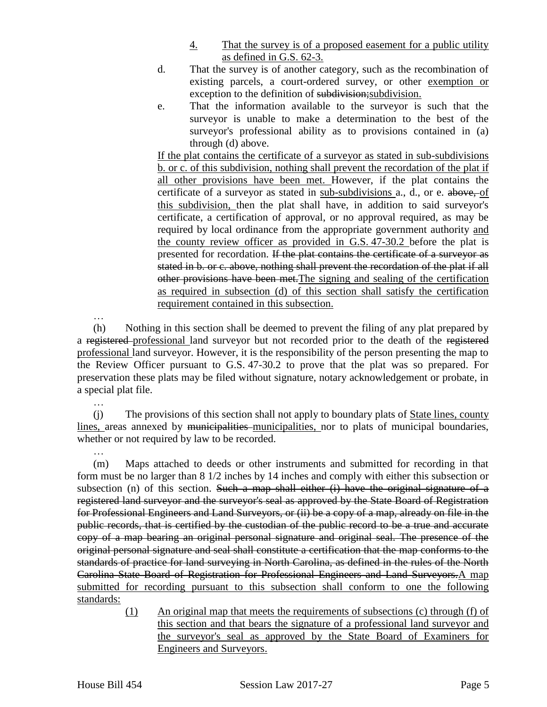- 4. That the survey is of a proposed easement for a public utility as defined in G.S. 62-3.
- d. That the survey is of another category, such as the recombination of existing parcels, a court-ordered survey, or other exemption or exception to the definition of subdivision; subdivision.
- e. That the information available to the surveyor is such that the surveyor is unable to make a determination to the best of the surveyor's professional ability as to provisions contained in (a) through (d) above.

If the plat contains the certificate of a surveyor as stated in sub-subdivisions b. or c. of this subdivision, nothing shall prevent the recordation of the plat if all other provisions have been met. However, if the plat contains the certificate of a surveyor as stated in sub-subdivisions a., d., or e. above, of this subdivision, then the plat shall have, in addition to said surveyor's certificate, a certification of approval, or no approval required, as may be required by local ordinance from the appropriate government authority and the county review officer as provided in G.S. 47-30.2 before the plat is presented for recordation. If the plat contains the certificate of a surveyor as stated in b. or c. above, nothing shall prevent the recordation of the plat if all other provisions have been met.The signing and sealing of the certification as required in subsection (d) of this section shall satisfy the certification requirement contained in this subsection.

…

…

(h) Nothing in this section shall be deemed to prevent the filing of any plat prepared by a registered professional land surveyor but not recorded prior to the death of the registered professional land surveyor. However, it is the responsibility of the person presenting the map to the Review Officer pursuant to G.S. 47-30.2 to prove that the plat was so prepared. For preservation these plats may be filed without signature, notary acknowledgement or probate, in a special plat file.

… (j) The provisions of this section shall not apply to boundary plats of State lines, county lines, areas annexed by municipalities municipalities, nor to plats of municipal boundaries, whether or not required by law to be recorded.

(m) Maps attached to deeds or other instruments and submitted for recording in that form must be no larger than 8 1/2 inches by 14 inches and comply with either this subsection or subsection (n) of this section. Such a map shall either  $(i)$  have the original signature of a registered land surveyor and the surveyor's seal as approved by the State Board of Registration for Professional Engineers and Land Surveyors, or (ii) be a copy of a map, already on file in the public records, that is certified by the custodian of the public record to be a true and accurate copy of a map bearing an original personal signature and original seal. The presence of the original personal signature and seal shall constitute a certification that the map conforms to the standards of practice for land surveying in North Carolina, as defined in the rules of the North Carolina State Board of Registration for Professional Engineers and Land Surveyors.A map submitted for recording pursuant to this subsection shall conform to one the following standards:

> (1) An original map that meets the requirements of subsections (c) through (f) of this section and that bears the signature of a professional land surveyor and the surveyor's seal as approved by the State Board of Examiners for Engineers and Surveyors.